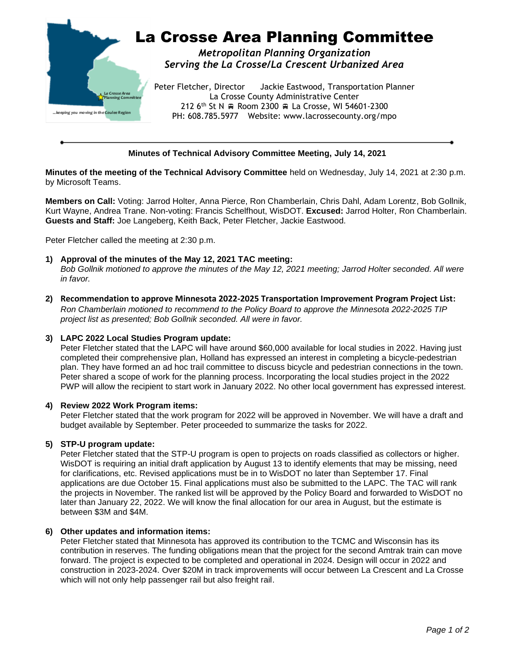

# **Minutes of Technical Advisory Committee Meeting, July 14, 2021**

**Minutes of the meeting of the Technical Advisory Committee** held on Wednesday, July 14, 2021 at 2:30 p.m. by Microsoft Teams.

**Members on Call:** Voting: Jarrod Holter, Anna Pierce, Ron Chamberlain, Chris Dahl, Adam Lorentz, Bob Gollnik, Kurt Wayne, Andrea Trane. Non-voting: Francis Schelfhout, WisDOT. **Excused:** Jarrod Holter, Ron Chamberlain. **Guests and Staff:** Joe Langeberg, Keith Back, Peter Fletcher, Jackie Eastwood.

Peter Fletcher called the meeting at 2:30 p.m.

### **1) Approval of the minutes of the May 12, 2021 TAC meeting:**

*Bob Gollnik motioned to approve the minutes of the May 12, 2021 meeting; Jarrod Holter seconded. All were in favor.*

**2) Recommendation to approve Minnesota 2022-2025 Transportation Improvement Program Project List:** *Ron Chamberlain motioned to recommend to the Policy Board to approve the Minnesota 2022-2025 TIP project list as presented; Bob Gollnik seconded. All were in favor.*

#### **3) LAPC 2022 Local Studies Program update:**

Peter Fletcher stated that the LAPC will have around \$60,000 available for local studies in 2022. Having just completed their comprehensive plan, Holland has expressed an interest in completing a bicycle-pedestrian plan. They have formed an ad hoc trail committee to discuss bicycle and pedestrian connections in the town. Peter shared a scope of work for the planning process. Incorporating the local studies project in the 2022 PWP will allow the recipient to start work in January 2022. No other local government has expressed interest.

### **4) Review 2022 Work Program items:**

Peter Fletcher stated that the work program for 2022 will be approved in November. We will have a draft and budget available by September. Peter proceeded to summarize the tasks for 2022.

### **5) STP-U program update:**

Peter Fletcher stated that the STP-U program is open to projects on roads classified as collectors or higher. WisDOT is requiring an initial draft application by August 13 to identify elements that may be missing, need for clarifications, etc. Revised applications must be in to WisDOT no later than September 17. Final applications are due October 15. Final applications must also be submitted to the LAPC. The TAC will rank the projects in November. The ranked list will be approved by the Policy Board and forwarded to WisDOT no later than January 22, 2022. We will know the final allocation for our area in August, but the estimate is between \$3M and \$4M.

### **6) Other updates and information items:**

Peter Fletcher stated that Minnesota has approved its contribution to the TCMC and Wisconsin has its contribution in reserves. The funding obligations mean that the project for the second Amtrak train can move forward. The project is expected to be completed and operational in 2024. Design will occur in 2022 and construction in 2023-2024. Over \$20M in track improvements will occur between La Crescent and La Crosse which will not only help passenger rail but also freight rail.